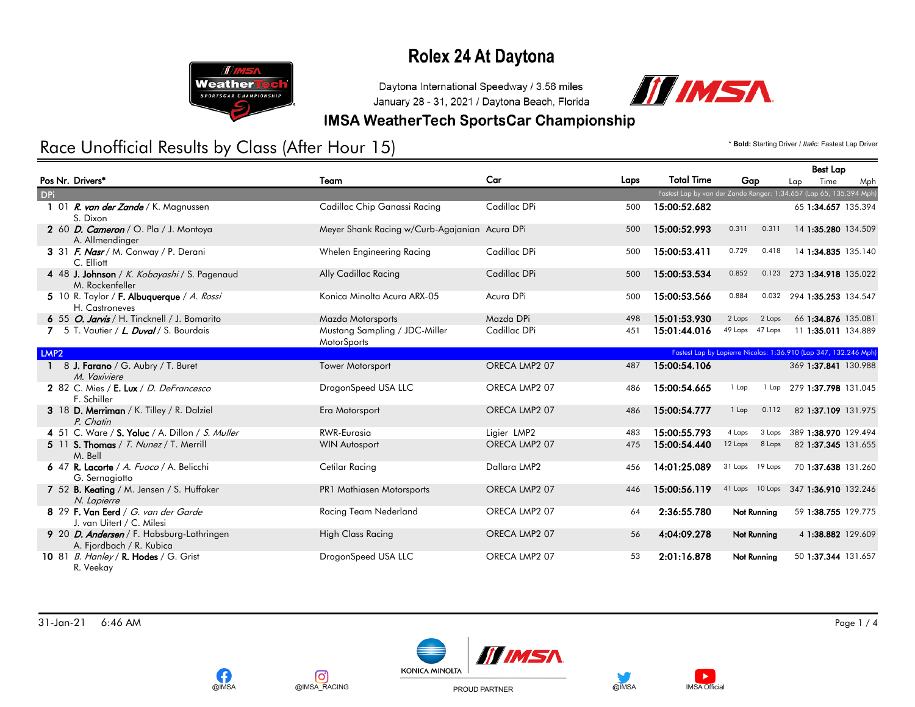

Daytona International Speedway / 3.56 miles January 28 - 31, 2021 / Daytona Beach, Florida



#### **IMSA WeatherTech SportsCar Championship**

## Race Unofficial Results by Class (After Hour 15) **And Access 2012 1999 The Control of Access** Lap Driver / *Italic: Fastest Lap Driver*

**OIMSA** 

တြ

@IMSA\_RACING

|                  |                                                                       |                                               |               |      |                   |                                                                    | <b>Best Lap</b>            |                      |
|------------------|-----------------------------------------------------------------------|-----------------------------------------------|---------------|------|-------------------|--------------------------------------------------------------------|----------------------------|----------------------|
|                  | Pos Nr. Drivers <sup>*</sup>                                          | Team                                          | Car           | Laps | <b>Total Time</b> | Gap                                                                | Time<br>Lap                | Mph                  |
| <b>DPi</b>       |                                                                       |                                               |               |      |                   | Fastest Lap by van der Zande Renger: 1:34.657 (Lap 65, 135.394 Mph |                            |                      |
|                  | 01 <i>R. van der Zande</i> / K. Magnussen<br>S. Dixon                 | Cadillac Chip Ganassi Racing                  | Cadillac DPi  | 500  | 15:00:52.682      |                                                                    |                            | 65 1:34.657 135.394  |
|                  | 2 60 D. Cameron / O. Pla / J. Montoya<br>A. Allmendinger              | Meyer Shank Racing w/Curb-Agajanian Acura DPi |               | 500  | 15:00:52.993      | 0.311<br>0.311                                                     |                            | 14 1:35.280 134.509  |
|                  | 3 31 F. Nasr / M. Conway / P. Derani<br>C. Elliott                    | Whelen Engineering Racing                     | Cadillac DPi  | 500  | 15:00:53.411      | 0.729<br>0.418                                                     |                            | 14 1:34.835 135.140  |
|                  | 4 48 J. Johnson / K. Kobayashi / S. Pagenaud<br>M. Rockenfeller       | Ally Cadillac Racing                          | Cadillac DPi  | 500  | 15:00:53.534      | 0.852<br>0.123                                                     |                            | 273 1:34.918 135.022 |
|                  | 5 10 R. Taylor / F. Albuquerque / A. Rossi<br>H. Castroneves          | Konica Minolta Acura ARX-05                   | Acura DPi     | 500  | 15:00:53.566      | 0.884<br>0.032                                                     | 294 1:35.253 134.547       |                      |
|                  | 6 55 O. Jarvis / H. Tincknell / J. Bomarito                           | Mazda Motorsports                             | Mazda DPi     | 498  | 15:01:53.930      | 2 Laps<br>2 Laps                                                   |                            | 66 1:34.876 135.081  |
|                  | 7 5 T. Vautier / L. Duval / S. Bourdais                               | Mustang Sampling / JDC-Miller<br>MotorSports  | Cadillac DPi  | 451  | 15:01:44.016      | 49 Laps 47 Laps                                                    |                            | 11 1:35.011 134.889  |
| LMP <sub>2</sub> |                                                                       |                                               |               |      |                   | Fastest Lap by Lapierre Nicolas: 1:36.910 (Lap 347, 132.246 Mph)   |                            |                      |
|                  | 8 J. Farano / G. Aubry / T. Buret<br>M. Vaxiviere                     | <b>Tower Motorsport</b>                       | ORECA LMP2 07 | 487  | 15:00:54.106      |                                                                    |                            | 369 1:37.841 130.988 |
|                  | 2 82 C. Mies / E. Lux / D. DeFrancesco<br>F. Schiller                 | DragonSpeed USA LLC                           | ORECA LMP2 07 | 486  | 15:00:54.665      | 1 Lap                                                              | 1 Lap 279 1:37.798 131.045 |                      |
|                  | 3 18 D. Merriman / K. Tilley / R. Dalziel<br>P. Chatin                | Era Motorsport                                | ORECA LMP2 07 | 486  | 15:00:54.777      | 0.112<br>1 Lap                                                     |                            | 82 1:37.109 131.975  |
|                  | 4 51 C. Ware / S. Yoluc / A. Dillon / S. Muller                       | <b>RWR-Eurasia</b>                            | Ligier LMP2   | 483  | 15:00:55.793      | 3 Laps<br>4 Laps                                                   |                            | 389 1:38.970 129.494 |
|                  | 5 11 S. Thomas / T. Nunez / T. Merrill<br>M. Bell                     | <b>WIN Autosport</b>                          | ORECA LMP2 07 | 475  | 15:00:54.440      | 12 Laps<br>8 Laps                                                  |                            | 82 1:37.345 131.655  |
|                  | 6 47 R. Lacorte / A. Fuoco / A. Belicchi<br>G. Sernagiotto            | Cetilar Racing                                | Dallara LMP2  | 456  | 14:01:25.089      | 31 Laps 19 Laps                                                    |                            | 70 1:37.638 131.260  |
|                  | 7 52 B. Keating / M. Jensen / S. Huffaker<br>N. Lapierre              | PR1 Mathiasen Motorsports                     | ORECA LMP2 07 | 446  | 15:00:56.119      | 41 Laps 10 Laps 347 1:36.910 132.246                               |                            |                      |
|                  | 8 29 F. Van Eerd / G. van der Garde<br>J. van Uitert / C. Milesi      | Racing Team Nederland                         | ORECA LMP2 07 | 64   | 2:36:55.780       | Not Running                                                        |                            | 59 1:38.755 129.775  |
|                  | 9 20 D. Andersen / F. Habsburg-Lothringen<br>A. Fjordbach / R. Kubica | <b>High Class Racing</b>                      | ORECA LMP2 07 | 56   | 4:04:09.278       | Not Running                                                        |                            | 4 1:38.882 129.609   |
|                  | 10 81 B. Hanley / R. Hodes / G. Grist<br>R. Veekay                    | DragonSpeed USA LLC                           | ORECA LMP2 07 | 53   | 2:01:16.878       | Not Running                                                        |                            | 50 1:37.344 131.657  |



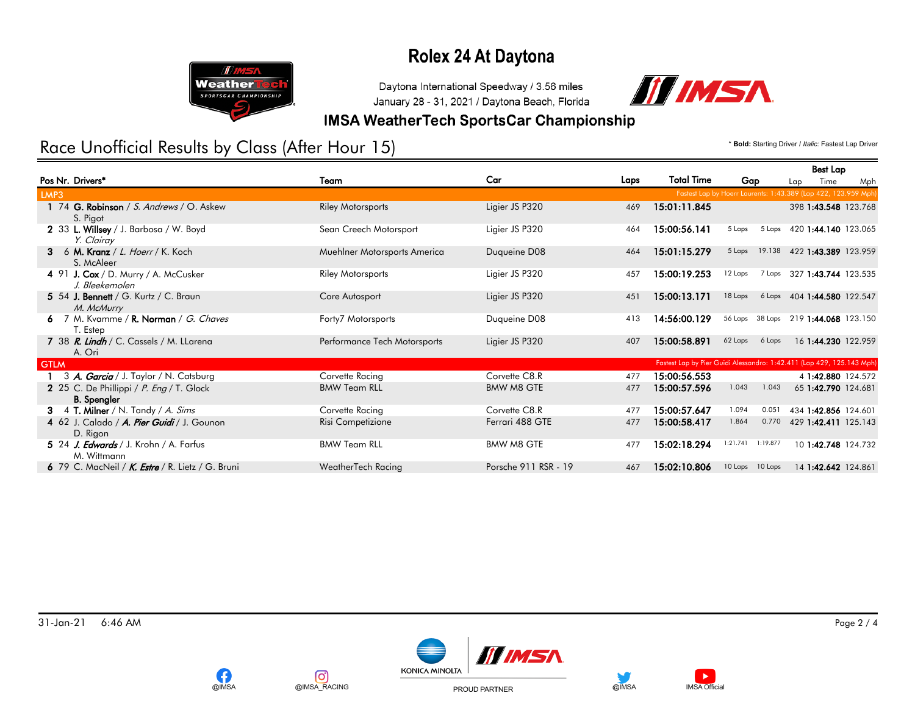

Daytona International Speedway / 3.56 miles January 28 - 31, 2021 / Daytona Beach, Florida



#### **IMSA WeatherTech SportsCar Championship**

## Race Unofficial Results by Class (After Hour 15) **And Access 2018** The Manuscript of *Bold: Starting Driver / Italic: Fastest Lap Driver*

**OIMSA** 

တြ

@IMSA\_RACING

|                                                                |                              |                      |      |                                                                       |                                                                |        | <b>Best Lap</b>             |     |
|----------------------------------------------------------------|------------------------------|----------------------|------|-----------------------------------------------------------------------|----------------------------------------------------------------|--------|-----------------------------|-----|
| Pos Nr. Drivers*                                               | Team                         | Car                  | Laps | <b>Total Time</b>                                                     | Gap                                                            | Lap    | Time                        | Mph |
| LMP3                                                           |                              |                      |      |                                                                       | Fastest Lap by Hoerr Laurents: 1:43.389 (Lap 422, 123.959 Mph) |        |                             |     |
| 1 74 G. Robinson / S. Andrews / O. Askew<br>S. Pigot           | <b>Riley Motorsports</b>     | Ligier JS P320       | 469  | 15:01:11.845                                                          |                                                                |        | 398 1:43.548 123.768        |     |
| 2 33 L. Willsey / J. Barbosa / W. Boyd<br>Y. Clairay           | Sean Creech Motorsport       | Ligier JS P320       | 464  | 15:00:56.141                                                          | 5 Laps                                                         |        | 5 Laps 420 1:44.140 123.065 |     |
| 3 6 M. Kranz / L. Hoerr / K. Koch<br>S. McAleer                | Muehlner Motorsports America | Duqueine D08         | 464  | 15:01:15.279                                                          | 19.138<br>5 Laps                                               |        | 422 1:43.389 123.959        |     |
| 4 91 J. Cox / D. Murry / A. McCusker<br>J. Bleekemolen         | <b>Riley Motorsports</b>     | Ligier JS P320       | 457  | 15:00:19.253                                                          | 12 Laps                                                        | 7 Laps | 327 1:43.744 123.535        |     |
| 5 54 J. Bennett / G. Kurtz / C. Braun<br>M. McMurry            | Core Autosport               | Ligier JS P320       | 451  | 15:00:13.171                                                          | 18 Laps                                                        |        | 6 Laps 404 1:44.580 122.547 |     |
| 6 7 M. Kvamme / R. Norman / G. Chaves<br>T. Estep              | Forty7 Motorsports           | Duqueine D08         | 413  | 14:56:00.129                                                          | 38 Laps<br>56 Laps                                             |        | 219 1:44.068 123.150        |     |
| 7 38 R. Lindh / C. Cassels / M. LLarena<br>A. Ori              | Performance Tech Motorsports | Ligier JS P320       | 407  | 15:00:58.891                                                          | 62 Laps<br>6 Laps                                              |        | 16 1:44.230 122.959         |     |
| <b>GTLM</b>                                                    |                              |                      |      | Fastest Lap by Pier Guidi Alessandro: 1:42.411 (Lap 429, 125.143 Mph) |                                                                |        |                             |     |
| 3 A. Garcia / J. Taylor / N. Catsburg                          | Corvette Racing              | Corvette C8.R        | 477  | 15:00:56.553                                                          |                                                                |        | 4 1:42.880 124.572          |     |
| 2 25 C. De Phillippi / P. Eng / T. Glock<br><b>B.</b> Spengler | <b>BMW Team RLL</b>          | <b>BMW M8 GTE</b>    | 477  | 15:00:57.596                                                          | 1.043                                                          | 1.043  | 65 1:42.790 124.681         |     |
| 3 4 T. Milner / N. Tandy / A. Sims                             | Corvette Racing              | Corvette C8.R        | 477  | 15:00:57.647                                                          | 1.094<br>0.051                                                 |        | 434 1:42.856 124.601        |     |
| 4 62 J. Calado / A. Pier Guidi / J. Gounon<br>D. Rigon         | Risi Competizione            | Ferrari 488 GTE      | 477  | 15:00:58.417                                                          | 1.864                                                          | 0.770  | 429 1:42.411 125.143        |     |
| 5 24 J. Edwards / J. Krohn / A. Farfus<br>M. Wittmann          | <b>BMW Team RLL</b>          | <b>BMW M8 GTE</b>    | 477  | 15:02:18.294                                                          | 1:21.741<br>1:19.877                                           |        | 10 1:42.748 124.732         |     |
| 6 79 C. MacNeil / $K$ . <i>Estre</i> / R. Lietz / G. Bruni     | WeatherTech Racing           | Porsche 911 RSR - 19 | 467  | 15:02:10.806                                                          | 10 Laps<br>10 Laps                                             |        | 14 1:42.642 124.861         |     |
|                                                                |                              |                      |      |                                                                       |                                                                |        |                             |     |





@IMSA

PROUD PARTNER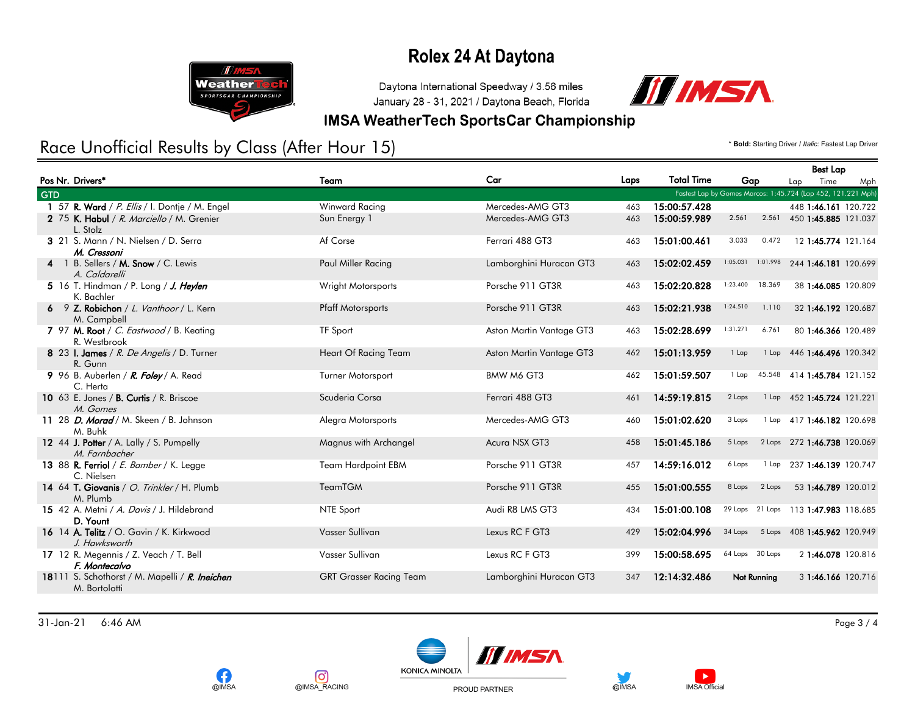

Daytona International Speedway / 3.56 miles January 28 - 31, 2021 / Daytona Beach, Florida



#### **IMSA WeatherTech SportsCar Championship**

## Race Unofficial Results by Class (After Hour 15) **And Access 2018** The Manuscript of *Bold: Starting Driver / Italic: Fastest Lap Driver*

|            |                                                                 |                                |                          |      |                   |                                                              |         | <b>Best Lap</b>             |     |
|------------|-----------------------------------------------------------------|--------------------------------|--------------------------|------|-------------------|--------------------------------------------------------------|---------|-----------------------------|-----|
|            | Pos Nr. Drivers*                                                | Team                           | Car                      | Laps | <b>Total Time</b> | Gap                                                          |         | Time<br>Lap                 | Mph |
| <b>GTD</b> |                                                                 |                                |                          |      |                   | Fastest Lap by Gomes Marcos: 1:45.724 (Lap 452, 121.221 Mph) |         |                             |     |
|            | 1 57 R. Ward / P. Ellis / I. Dontje / M. Engel                  | Winward Racing                 | Mercedes-AMG GT3         | 463  | 15:00:57.428      |                                                              |         | 448 1:46.161 120.722        |     |
|            | 2 75 K. Habul / R. Marciello / M. Grenier<br>L. Stolz           | Sun Energy 1                   | Mercedes-AMG GT3         | 463  | 15:00:59.989      | 2.561                                                        |         | 2.561 450 1:45.885 121.037  |     |
|            | 3 21 S. Mann / N. Nielsen / D. Serra<br>M. Cressoni             | Af Corse                       | Ferrari 488 GT3          | 463  | 15:01:00.461      | 3.033                                                        | 0.472   | 12 1:45.774 121.164         |     |
|            | 4 1 B. Sellers / M. Snow / C. Lewis<br>A. Caldarelli            | Paul Miller Racing             | Lamborghini Huracan GT3  | 463  | 15:02:02.459      | 1:05.031<br>1:01.998                                         |         | 244 1:46.181 120.699        |     |
|            | 5 16 T. Hindman / P. Long / J. Heylen<br>K. Bachler             | Wright Motorsports             | Porsche 911 GT3R         | 463  | 15:02:20.828      | 1:23.400                                                     | 18.369  | 38 1:46.085 120.809         |     |
|            | 6 9 Z. Robichon / L. Vanthoor / L. Kern<br>M. Campbell          | <b>Pfaff Motorsports</b>       | Porsche 911 GT3R         | 463  | 15:02:21.938      | 1:24.510                                                     | 1.110   | 32 1:46.192 120.687         |     |
|            | 7 97 M. Root / C. Eastwood / B. Keating<br>R. Westbrook         | <b>TF Sport</b>                | Aston Martin Vantage GT3 | 463  | 15:02:28.699      | 1:31.271                                                     | 6.761   | 80 1:46.366 120.489         |     |
|            | 8 23 I. James / R. De Angelis / D. Turner<br>R. Gunn            | Heart Of Racing Team           | Aston Martin Vantage GT3 | 462  | 15:01:13.959      | $1$ Lap                                                      | $1$ Lap | 446 1:46.496 120.342        |     |
|            | 9 96 B. Auberlen / R. Foley / A. Read<br>C. Herta               | <b>Turner Motorsport</b>       | BMW M6 GT3               | 462  | 15:01:59.507      | 1 Lap                                                        | 45.548  | 414 1:45.784 121.152        |     |
|            | 10 63 E. Jones / B. Curtis / R. Briscoe<br>M. Gomes             | Scuderia Corsa                 | Ferrari 488 GT3          | 461  | 14:59:19.815      | 2 Laps                                                       | $1$ Lap | 452 1:45.724 121.221        |     |
|            | 11 28 <i>D. Morad / M. Skeen / B. Johnson</i><br>M. Buhk        | Alegra Motorsports             | Mercedes-AMG GT3         | 460  | 15:01:02.620      | 3 Laps                                                       |         | 1 Lap 417 1:46.182 120.698  |     |
|            | 12 44 J. Potter / A. Lally / S. Pumpelly<br>M. Farnbacher       | Magnus with Archangel          | Acura NSX GT3            | 458  | 15:01:45.186      | 5 Laps                                                       |         | 2 Laps 272 1:46.738 120.069 |     |
|            | 13 88 R. Ferriol / E. Bamber / K. Legge<br>C. Nielsen           | <b>Team Hardpoint EBM</b>      | Porsche 911 GT3R         | 457  | 14:59:16.012      | 6 Laps                                                       | 1 Lap   | 237 1:46.139 120.747        |     |
|            | 14 64 T. Giovanis / O. Trinkler / H. Plumb<br>M. Plumb          | <b>TeamTGM</b>                 | Porsche 911 GT3R         | 455  | 15:01:00.555      | 8 Laps                                                       | 2 Laps  | 53 1:46.789 120.012         |     |
|            | 15 42 A. Metni / A. Davis / J. Hildebrand<br>D. Yount           | NTE Sport                      | Audi R8 LMS GT3          | 434  | 15:01:00.108      | 29 Laps 21 Laps 113 1:47.983 118.685                         |         |                             |     |
|            | 16 14 A. Telitz / O. Gavin / K. Kirkwood<br>J. Hawksworth       | Vasser Sullivan                | Lexus RC F GT3           | 429  | 15:02:04.996      | 34 Laps                                                      |         | 5 Laps 408 1:45.962 120.949 |     |
|            | 17 12 R. Megennis / Z. Veach / T. Bell<br>F. Montecalvo         | Vasser Sullivan                | Lexus RC F GT3           | 399  | 15:00:58.695      | 64 Laps 30 Laps                                              |         | 2 1:46.078 120.816          |     |
|            | 18111 S. Schothorst / M. Mapelli / R. Ineichen<br>M. Bortolotti | <b>GRT Grasser Racing Team</b> | Lamborghini Huracan GT3  | 347  | 12:14:32.486      | Not Running                                                  |         | 3 1:46.166 120.716          |     |

31-Jan-21 6:46 AM Page 3 / 4











 $\blacktriangleright$ 

**IMSA Official** 

PROUD PARTNER